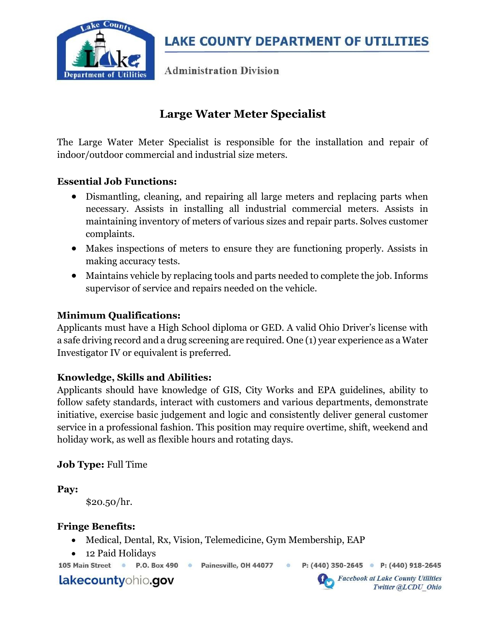

**LAKE COUNTY DEPARTMENT OF UTILITIES** 

**Administration Division** 

# Large Water Meter Specialist

The Large Water Meter Specialist is responsible for the installation and repair of indoor/outdoor commercial and industrial size meters.

# Essential Job Functions:

- Dismantling, cleaning, and repairing all large meters and replacing parts when necessary. Assists in installing all industrial commercial meters. Assists in maintaining inventory of meters of various sizes and repair parts. Solves customer complaints.
- Makes inspections of meters to ensure they are functioning properly. Assists in making accuracy tests.
- Maintains vehicle by replacing tools and parts needed to complete the job. Informs supervisor of service and repairs needed on the vehicle.

### Minimum Qualifications:

Applicants must have a High School diploma or GED. A valid Ohio Driver's license with a safe driving record and a drug screening are required. One (1) year experience as a Water Investigator IV or equivalent is preferred.

#### Knowledge, Skills and Abilities:

Applicants should have knowledge of GIS, City Works and EPA guidelines, ability to follow safety standards, interact with customers and various departments, demonstrate initiative, exercise basic judgement and logic and consistently deliver general customer service in a professional fashion. This position may require overtime, shift, weekend and holiday work, as well as flexible hours and rotating days.

#### Job Type: Full Time

Pay:

\$20.50/hr.

# Fringe Benefits:

- Medical, Dental, Rx, Vision, Telemedicine, Gym Membership, EAP
- 12 Paid Holidays

105 Main Street . P.O. Box 490 . Painesville, OH 44077

 $\ddot{\circ}$ 

P: (440) 350-2645 • P: (440) 918-2645

lakecountyohio.gov

**Facebook at Lake County Utilities** Twitter @LCDU Ohio